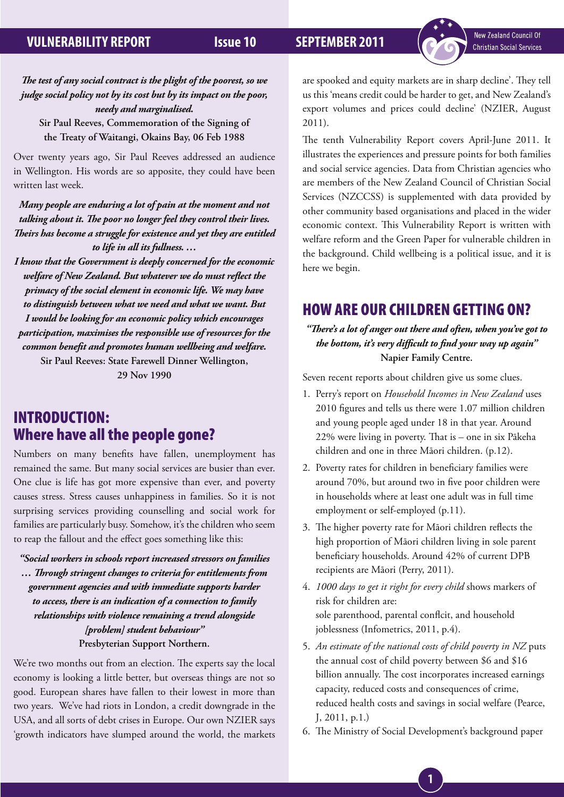### *The test of any social contract is the plight of the poorest, so we judge social policy not by its cost but by its impact on the poor, needy and marginalised.*

**Sir Paul Reeves, Commemoration of the Signing of the Treaty of Waitangi, Okains Bay, 06 Feb 1988**

Over twenty years ago, Sir Paul Reeves addressed an audience in Wellington. His words are so apposite, they could have been written last week.

*Many people are enduring a lot of pain at the moment and not talking about it. The poor no longer feel they control their lives. Theirs has become a struggle for existence and yet they are entitled to life in all its fullness. …*

*I know that the Government is deeply concerned for the economic welfare of New Zealand. But whatever we do must reflect the primacy of the social element in economic life. We may have to distinguish between what we need and what we want. But I would be looking for an economic policy which encourages participation, maximises the responsible use of resources for the common benefit and promotes human wellbeing and welfare.* **Sir Paul Reeves: State Farewell Dinner Wellington,** 

**29 Nov 1990** 

## INTRODUCTION: Where have all the people gone?

Numbers on many benefits have fallen, unemployment has remained the same. But many social services are busier than ever. One clue is life has got more expensive than ever, and poverty causes stress. Stress causes unhappiness in families. So it is not surprising services providing counselling and social work for families are particularly busy. Somehow, it's the children who seem to reap the fallout and the effect goes something like this:

*"Social workers in schools report increased stressors on families … Through stringent changes to criteria for entitlements from government agencies and with immediate supports harder to access, there is an indication of a connection to family relationships with violence remaining a trend alongside [problem] student behaviour"* **Presbyterian Support Northern.**

We're two months out from an election. The experts say the local economy is looking a little better, but overseas things are not so good. European shares have fallen to their lowest in more than two years. We've had riots in London, a credit downgrade in the USA, and all sorts of debt crises in Europe. Our own NZIER says 'growth indicators have slumped around the world, the markets

are spooked and equity markets are in sharp decline'. They tell us this 'means credit could be harder to get, and New Zealand's export volumes and prices could decline' (NZIER, August 2011).

The tenth Vulnerability Report covers April-June 2011. It illustrates the experiences and pressure points for both families and social service agencies. Data from Christian agencies who are members of the New Zealand Council of Christian Social Services (NZCCSS) is supplemented with data provided by other community based organisations and placed in the wider economic context. This Vulnerability Report is written with welfare reform and the Green Paper for vulnerable children in the background. Child wellbeing is a political issue, and it is here we begin.

# HOW ARE OUR CHILDREN GETTING ON?

*"There's a lot of anger out there and often, when you've got to the bottom, it's very difficult to find your way up again"*  **Napier Family Centre.**

Seven recent reports about children give us some clues.

- 1. Perry's report on *Household Incomes in New Zealand* uses 2010 figures and tells us there were 1.07 million children and young people aged under 18 in that year. Around 22% were living in poverty. That is – one in six Pākeha children and one in three Māori children. (p.12).
- 2. Poverty rates for children in beneficiary families were around 70%, but around two in five poor children were in households where at least one adult was in full time employment or self-employed (p.11).
- 3. The higher poverty rate for Māori children reflects the high proportion of Māori children living in sole parent beneficiary households. Around 42% of current DPB recipients are Māori (Perry, 2011).
- 4. *1000 days to get it right for every child* shows markers of risk for children are: sole parenthood, parental conflcit, and household joblessness (Infometrics, 2011, p.4).
- 5. *An estimate of the national costs of child poverty in NZ* puts the annual cost of child poverty between \$6 and \$16 billion annually. The cost incorporates increased earnings capacity, reduced costs and consequences of crime, reduced health costs and savings in social welfare (Pearce, J, 2011, p.1.)
- 6. The Ministry of Social Development's background paper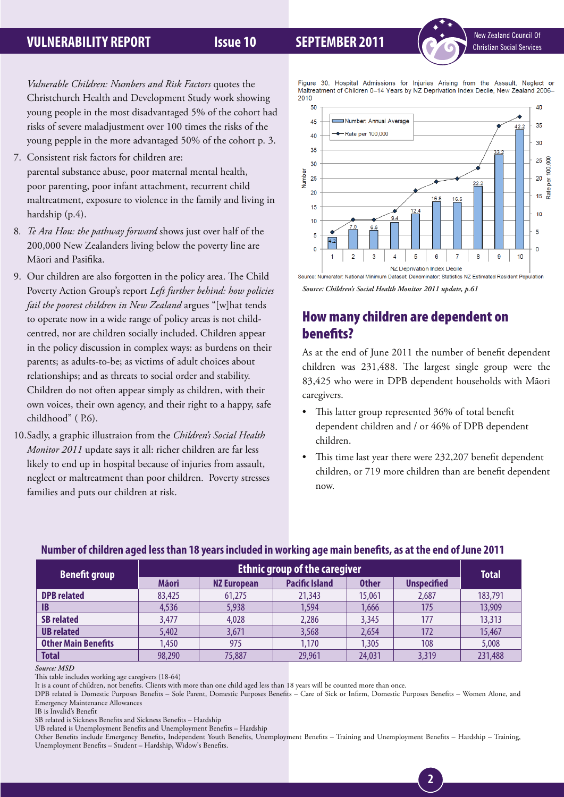

*Vulnerable Children: Numbers and Risk Factors* quotes the Christchurch Health and Development Study work showing young people in the most disadvantaged 5% of the cohort had risks of severe maladjustment over 100 times the risks of the young pepple in the more advantaged 50% of the cohort p. 3.

- 7. Consistent risk factors for children are: parental substance abuse, poor maternal mental health, poor parenting, poor infant attachment, recurrent child maltreatment, exposure to violence in the family and living in hardship (p.4).
- 8*. Te Ara Hou: the pathway forward* shows just over half of the 200,000 New Zealanders living below the poverty line are Māori and Pasifika.
- 9. Our children are also forgotten in the policy area. The Child Poverty Action Group's report *Left further behind: how policies fail the poorest children in New Zealand* argues "[w]hat tends to operate now in a wide range of policy areas is not childcentred, nor are children socially included. Children appear in the policy discussion in complex ways: as burdens on their parents; as adults-to-be; as victims of adult choices about relationships; and as threats to social order and stability. Children do not often appear simply as children, with their own voices, their own agency, and their right to a happy, safe childhood" ( P.6).
- 10.Sadly, a graphic illustraion from the *Children's Social Health Monitor 2011* update says it all: richer children are far less likely to end up in hospital because of injuries from assault, neglect or maltreatment than poor children. Poverty stresses families and puts our children at risk.

Figure 30. Hospital Admissions for Injuries Arising from the Assault. Neglect or Maltreatment of Children 0-14 Years by NZ Deprivation Index Decile, New Zealand 2006-2010



### *Source: Children's Social Health Monitor 2011 update, p.61*

# How many children are dependent on benefits?

As at the end of June 2011 the number of benefit dependent children was 231,488. The largest single group were the 83,425 who were in DPB dependent households with Māori caregivers.

- This latter group represented 36% of total benefit dependent children and / or 46% of DPB dependent children.
- This time last year there were 232,207 benefit dependent children, or 719 more children than are benefit dependent now.

**2**

### **Number of children aged less than 18 years included in working age main benefits, as at the end of June 2011**

| <b>Benefit group</b>       | <b>Ethnic group of the caregiver</b> |                    |                       |              |                    |              |
|----------------------------|--------------------------------------|--------------------|-----------------------|--------------|--------------------|--------------|
|                            | <b>Mäori</b>                         | <b>NZ European</b> | <b>Pacific Island</b> | <b>Other</b> | <b>Unspecified</b> | <b>Total</b> |
| <b>DPB</b> related         | 83,425                               | 61,275             | 21,343                | 15,061       | 2,687              | 183,791      |
| B                          | 4,536                                | 5,938              | 1,594                 | .666         | 175                | 13,909       |
| <b>SB related</b>          | 3,477                                | 4,028              | 2,286                 | 3,345        | 177                | 13,313       |
| <b>UB</b> related          | 5,402                                | 3,671              | 3,568                 | 2,654        | 172                | 15,467       |
| <b>Other Main Benefits</b> | 1,450                                | 975                | 1,170                 | ,305         | 108                | 5,008        |
| <b>Total</b>               | 98,290                               | 75,887             | 29,961                | 24,031       | 3,319              | 231,488      |

*Source: MSD*

This table includes working age caregivers (18-64)

It is a count of children, not benefits. Clients with more than one child aged less than 18 years will be counted more than once.

DPB related is Domestic Purposes Benefits – Sole Parent, Domestic Purposes Benefits – Care of Sick or Infirm, Domestic Purposes Benefits – Women Alone, and Emergency Maintenance Allowances

IB is Invalid's Benefit

SB related is Sickness Benefits and Sickness Benefits – Hardship

UB related is Unemployment Benefits and Unemployment Benefits – Hardship

Other Benefits include Emergency Benefits, Independent Youth Benefits, Unemployment Benefits – Training and Unemployment Benefits – Hardship – Training, Unemployment Benefits – Student – Hardship, Widow's Benefits.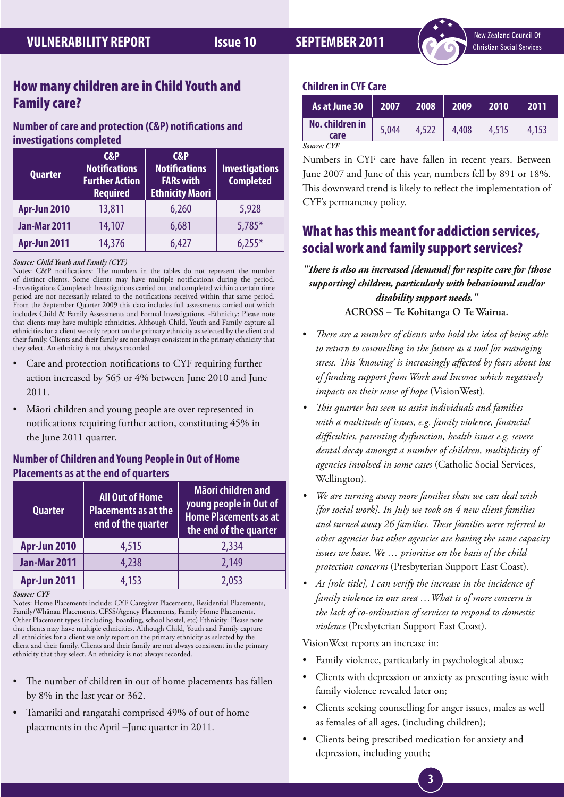## How many children are in Child Youth and Family care?

## **Number of care and protection (C&P) notifications and investigations completed**

| <b>Quarter</b>      | $C\&P$<br><b>Notifications</b><br><b>Further Action</b><br><b>Required</b> | C&P<br><b>Notifications</b><br><b>FARs with</b><br><b>Ethnicity Maori</b> | <b>Investigations</b><br><b>Completed</b> |
|---------------------|----------------------------------------------------------------------------|---------------------------------------------------------------------------|-------------------------------------------|
| Apr-Jun 2010        | 13,811                                                                     | 6,260                                                                     | 5,928                                     |
| <b>Jan-Mar 2011</b> | 14,107                                                                     | 6,681                                                                     | $5,785*$                                  |
| <b>Apr-Jun 2011</b> | 14,376                                                                     | 6,427                                                                     | $6.255*$                                  |

### *Source: Child Youth and Family (CYF)*

Notes: C&P notifications: The numbers in the tables do not represent the number of distinct clients. Some clients may have multiple notifications during the period. -Investigations Completed: Investigations carried out and completed within a certain time period are not necessarily related to the notifications received within that same period. From the September Quarter 2009 this data includes full assessments carried out which includes Child & Family Assessments and Formal Investigations. -Ethnicity: Please note that clients may have multiple ethnicities. Although Child, Youth and Family capture all ethnicities for a client we only report on the primary ethnicity as selected by the client and their family. Clients and their family are not always consistent in the primary ethnicity that they select. An ethnicity is not always recorded.

- Care and protection notifications to CYF requiring further action increased by 565 or 4% between June 2010 and June 2011.
- Māori children and young people are over represented in notifications requiring further action, constituting 45% in the June 2011 quarter.

## **Number of Children and Young People in Out of Home Placements as at the end of quarters**

| <b>Quarter</b>      | <b>All Out of Home</b><br>Placements as at the<br>end of the quarter | Māori children and<br>young people in Out of<br><b>Home Placements as at</b><br>the end of the quarter |  |
|---------------------|----------------------------------------------------------------------|--------------------------------------------------------------------------------------------------------|--|
| <b>Apr-Jun 2010</b> | 4,515                                                                | 2,334                                                                                                  |  |
| <b>Jan-Mar 2011</b> | 4,238                                                                | 2,149                                                                                                  |  |
| Apr-Jun 2011        | 4,153                                                                | 2,053                                                                                                  |  |

*Source: CYF* 

Notes: Home Placements include: CYF Caregiver Placements, Residential Placements, Family/Whānau Placements, CFSS/Agency Placements, Family Home Placements, Other Placement types (including, boarding, school hostel, etc) Ethnicity: Please note that clients may have multiple ethnicities. Although Child, Youth and Family capture all ethnicities for a client we only report on the primary ethnicity as selected by the client and their family. Clients and their family are not always consistent in the primary ethnicity that they select. An ethnicity is not always recorded.

- The number of children in out of home placements has fallen by 8% in the last year or 362.
- Tamariki and rangatahi comprised 49% of out of home placements in the April –June quarter in 2011.

## **Children in CYF Care**

| As at June 30           | 2007  | 2008  | 2009  | 2010  | 2011  |
|-------------------------|-------|-------|-------|-------|-------|
| No. children in<br>care | 5,044 | 4.522 | 4.408 | 4.515 | 4.153 |
| Source: CYF             |       |       |       |       |       |

Numbers in CYF care have fallen in recent years. Between June 2007 and June of this year, numbers fell by 891 or 18%. This downward trend is likely to reflect the implementation of CYF's permanency policy.

## What has this meant for addiction services, social work and family support services?

*"There is also an increased [demand] for respite care for [those supporting] children, particularly with behavioural and/or disability support needs."* **ACROSS – Te Kohitanga O Te Wairua.**

- There are a number of clients who hold the idea of being able *to return to counselling in the future as a tool for managing stress. This 'knowing' is increasingly affected by fears about loss of funding support from Work and Income which negatively impacts on their sense of hope* (VisionWest)*.*
- *• This quarter has seen us assist individuals and families with a multitude of issues, e.g. family violence, financial difficulties, parenting dysfunction, health issues e.g. severe dental decay amongst a number of children, multiplicity of agencies involved in some cases* (Catholic Social Services, Wellington)*.*
- *• We are turning away more families than we can deal with [for social work]. In July we took on 4 new client families and turned away 26 families. These families were referred to other agencies but other agencies are having the same capacity issues we have. We … prioritise on the basis of the child protection concerns* (Presbyterian Support East Coast)*.*
- *• As [role title], I can verify the increase in the incidence of family violence in our area …What is of more concern is the lack of co-ordination of services to respond to domestic violence* (Presbyterian Support East Coast)*.*

VisionWest reports an increase in:

- Family violence, particularly in psychological abuse;
- Clients with depression or anxiety as presenting issue with family violence revealed later on;
- • Clients seeking counselling for anger issues, males as well as females of all ages, (including children);
- • Clients being prescribed medication for anxiety and depression, including youth;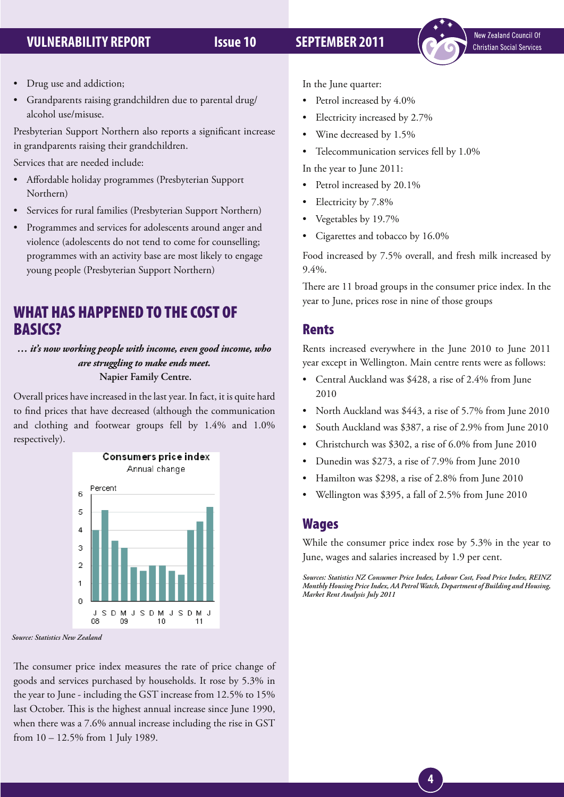

- Drug use and addiction;
- Grandparents raising grandchildren due to parental drug/ alcohol use/misuse.

Presbyterian Support Northern also reports a significant increase in grandparents raising their grandchildren.

Services that are needed include:

- Affordable holiday programmes (Presbyterian Support Northern)
- Services for rural families (Presbyterian Support Northern)
- Programmes and services for adolescents around anger and violence (adolescents do not tend to come for counselling; programmes with an activity base are most likely to engage young people (Presbyterian Support Northern)

# WHAT HAS HAPPENED TO THE COST OF BASICS?

*… it's now working people with income, even good income, who are struggling to make ends meet.*  **Napier Family Centre.**

Overall prices have increased in the last year. In fact, it is quite hard to find prices that have decreased (although the communication and clothing and footwear groups fell by 1.4% and 1.0% respectively).



*Source: Statistics New Zealand*

The consumer price index measures the rate of price change of goods and services purchased by households. It rose by 5.3% in the year to June - including the GST increase from 12.5% to 15% last October. This is the highest annual increase since June 1990, when there was a 7.6% annual increase including the rise in GST from 10 – 12.5% from 1 July 1989.

In the June quarter:

- Petrol increased by  $4.0\%$
- Electricity increased by 2.7%
- • Wine decreased by 1.5%
- Telecommunication services fell by 1.0%

In the year to June 2011:

- Petrol increased by 20.1%
- Electricity by 7.8%
- Vegetables by 19.7%
- • Cigarettes and tobacco by 16.0%

Food increased by 7.5% overall, and fresh milk increased by 9.4%.

There are 11 broad groups in the consumer price index. In the year to June, prices rose in nine of those groups

## Rents

Rents increased everywhere in the June 2010 to June 2011 year except in Wellington. Main centre rents were as follows:

- Central Auckland was \$428, a rise of 2.4% from June 2010
- North Auckland was \$443, a rise of 5.7% from June 2010
- South Auckland was \$387, a rise of 2.9% from June 2010
- Christchurch was \$302, a rise of 6.0% from June 2010
- Dunedin was \$273, a rise of 7.9% from June 2010
- Hamilton was \$298, a rise of 2.8% from June 2010
- Wellington was \$395, a fall of 2.5% from June 2010

## **Wages**

While the consumer price index rose by 5.3% in the year to June, wages and salaries increased by 1.9 per cent.

*Sources: Statistics NZ Consumer Price Index, Labour Cost, Food Price Index, REINZ Monthly Housing Price Index, AA Petrol Watch, Department of Building and Housing, Market Rent Analysis July 2011*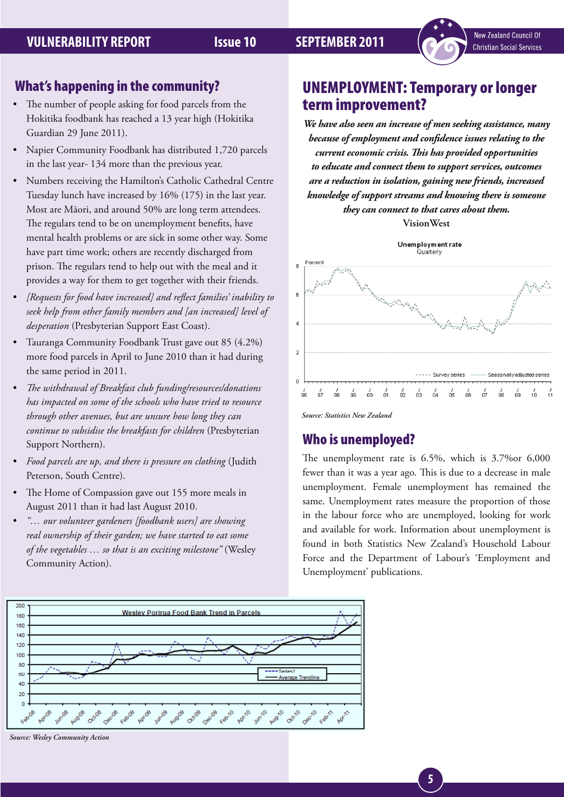- The number of people asking for food parcels from the Hokitika foodbank has reached a 13 year high (Hokitika Guardian 29 June 2011).
- Napier Community Foodbank has distributed 1,720 parcels in the last year- 134 more than the previous year.
- Numbers receiving the Hamilton's Catholic Cathedral Centre Tuesday lunch have increased by 16% (175) in the last year. Most are Māori, and around 50% are long term attendees. The regulars tend to be on unemployment benefits, have mental health problems or are sick in some other way. Some have part time work; others are recently discharged from prison. The regulars tend to help out with the meal and it provides a way for them to get together with their friends.
- • *[Requests for food have increased] and reflect families' inability to seek help from other family members and [an increased] level of desperation* (Presbyterian Support East Coast).
- Tauranga Community Foodbank Trust gave out 85 (4.2%) more food parcels in April to June 2010 than it had during the same period in 2011.
- The withdrawal of Breakfast club funding/resources/donations *has impacted on some of the schools who have tried to resource through other avenues, but are unsure how long they can continue to subsidise the breakfasts for children* (Presbyterian Support Northern).
- Food parcels are up, and there is pressure on clothing (Judith Peterson, South Centre).
- The Home of Compassion gave out 155 more meals in August 2011 than it had last August 2010.
- • *"… our volunteer gardeners [foodbank users] are showing real ownership of their garden; we have started to eat some of the vegetables … so that is an exciting milestone"* (Wesley Community Action).



New Zealand Council Of **Christian Social Services** 

*We have also seen an increase of men seeking assistance, many because of employment and confidence issues relating to the current economic crisis. This has provided opportunities to educate and connect them to support services, outcomes are a reduction in isolation, gaining new friends, increased knowledge of support streams and knowing there is someone they can connect to that cares about them.* 

**VisionWest**



*Source: Statistics New Zealand*

## Who is unemployed?

The unemployment rate is 6.5%, which is 3.7%or 6,000 fewer than it was a year ago. This is due to a decrease in male unemployment. Female unemployment has remained the same. Unemployment rates measure the proportion of those in the labour force who are unemployed, looking for work and available for work. Information about unemployment is found in both Statistics New Zealand's Household Labour Force and the Department of Labour's 'Employment and Unemployment' publications.



*Source: Wesley Community Action*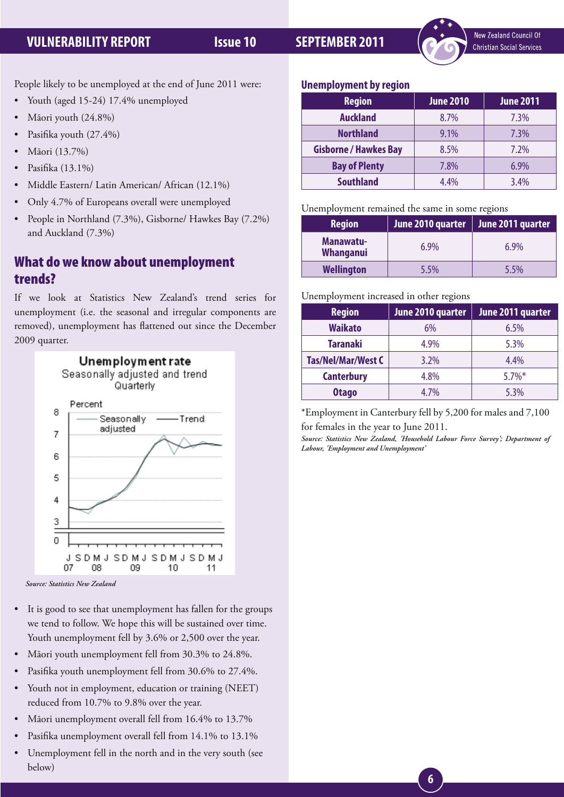

People likely to be unemployed at the end of June 2011 were:

- Youth (aged 15-24) 17.4% unemployed
- Māori youth (24.8%)
- Pasifika youth (27.4%)
- Māori (13.7%)
- Pasifika (13.1%)
- Middle Eastern/ Latin American/ African (12.1%)
- Only 4.7% of Europeans overall were unemployed
- People in Northland (7.3%), Gisborne/ Hawkes Bay (7.2%) and Auckland (7.3%)

## What do we know about unemployment trends?

If we look at Statistics New Zealand's trend series for unemployment (i.e. the seasonal and irregular components are removed), unemployment has flattened out since the December 2009 quarter.



*Source: Statistics New Zealand*

- It is good to see that unemployment has fallen for the groups we tend to follow. We hope this will be sustained over time. Youth unemployment fell by 3.6% or 2,500 over the year.
- Māori youth unemployment fell from 30.3% to 24.8%.
- Pasifika youth unemployment fell from 30.6% to 27.4%.
- Youth not in employment, education or training (NEET) reduced from 10.7% to 9.8% over the year.
- Māori unemployment overall fell from 16.4% to 13.7%
- Pasifika unemployment overall fell from 14.1% to 13.1%
- Unemployment fell in the north and in the very south (see below)

### **Unemployment by region**

| <b>Region</b>                | <b>June 2010</b> | <b>June 2011</b> |
|------------------------------|------------------|------------------|
| <b>Auckland</b>              | 8.7%             | 7.3%             |
| <b>Northland</b>             | $9.1\%$          | 7.3%             |
| <b>Gisborne / Hawkes Bay</b> | 8.5%             | $7.2\%$          |
| <b>Bay of Plenty</b>         | 7.8%             | $6.9\%$          |
| <b>Southland</b>             | 4.4%             | $3.4\%$          |

### Unemployment remained the same in some regions

| <b>Region</b>                 | June 2010 quarter | June 2011 quarter |
|-------------------------------|-------------------|-------------------|
| Manawatu-<br><b>Whanganui</b> | $6.9\%$           | $6.9\%$           |
| <b>Wellington</b>             | 5.5%              | 5.5%              |

### Unemployment increased in other regions

| <b>Region</b>      | June 2010 quarter | June 2011 quarter |
|--------------------|-------------------|-------------------|
| <b>Waikato</b>     | 6%                | 6.5%              |
| <b>Taranaki</b>    | 4.9%              | 5.3%              |
| Tas/Nel/Mar/West C | 3.2%              | 4.4%              |
| <b>Canterbury</b>  | 4.8%              | $5.7\%$ *         |
| <b>Otago</b>       | 4.7%              | 5.3%              |

\*Employment in Canterbury fell by 5,200 for males and 7,100 for females in the year to June 2011.

*Source: Statistics New Zealand, 'Household Labour Force Survey'; Department of Labour, 'Employment and Unemployment'*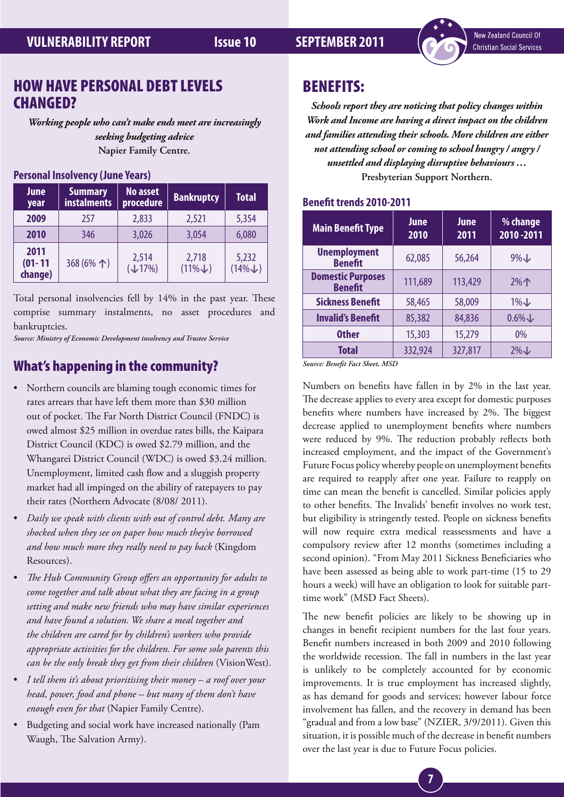

## HOW HAVE PERSONAL DEBT LEVELS CHANGED?

*Working people who can't make ends meet are increasingly seeking budgeting advice* **Napier Family Centre.**

## **Personal Insolvency (June Years)**

| <b>June</b><br>year            | <b>Summary</b><br><b>instalments</b> | <b>No asset</b><br>procedure | <b>Bankruptcy</b>          | <b>Total</b>               |
|--------------------------------|--------------------------------------|------------------------------|----------------------------|----------------------------|
| 2009                           | 257                                  | 2,833                        | 2,521                      | 5,354                      |
| 2010                           | 346                                  | 3,026                        | 3,054                      | 6,080                      |
| 2011<br>$(01 - 11)$<br>change) | 368 (6%个)                            | 2,514<br>$(\downarrow 17\%)$ | 2,718<br>$(11\% \text{L})$ | 5,232<br>$(14\% \text{L})$ |

Total personal insolvencies fell by 14% in the past year. These comprise summary instalments, no asset procedures and bankruptcies.

*Source: Ministry of Economic Development insolvency and Trustee Service*

## What's happening in the community?

- Northern councils are blaming tough economic times for rates arrears that have left them more than \$30 million out of pocket. The Far North District Council (FNDC) is owed almost \$25 million in overdue rates bills, the Kaipara District Council (KDC) is owed \$2.79 million, and the Whangarei District Council (WDC) is owed \$3.24 million. Unemployment, limited cash flow and a sluggish property market had all impinged on the ability of ratepayers to pay their rates (Northern Advocate (8/08/ 2011).
- Daily we speak with clients with out of control debt. Many are *shocked when they see on paper how much they've borrowed and how much more they really need to pay back* (Kingdom Resources).
- The Hub Community Group offers an opportunity for adults to *come together and talk about what they are facing in a group setting and make new friends who may have similar experiences and have found a solution. We share a meal together and the children are cared for by children's workers who provide appropriate activities for the children. For some solo parents this can be the only break they get from their children* (VisionWest).
- I tell them it's about prioritising their money a roof over your *head, power, food and phone – but many of them don't have enough even for that* (Napier Family Centre).
- Budgeting and social work have increased nationally (Pam Waugh, The Salvation Army).

## BENEFITS:

*Schools report they are noticing that policy changes within Work and Income are having a direct impact on the children and families attending their schools. More children are either not attending school or coming to school hungry / angry / unsettled and displaying disruptive behaviours …* **Presbyterian Support Northern.**

### **Benefit trends 2010-2011**

| <b>Main Benefit Type</b>                   | <b>June</b><br>2010 | June<br>2011 | % change<br>2010-2011 |
|--------------------------------------------|---------------------|--------------|-----------------------|
| <b>Unemployment</b><br><b>Benefit</b>      | 62,085              | 56,264       | $9\%$                 |
| <b>Domestic Purposes</b><br><b>Benefit</b> | 111,689             | 113,429      | $2%$ 个                |
| <b>Sickness Benefit</b>                    | 58,465              | 58,009       | $1\%$                 |
| <b>Invalid's Benefit</b>                   | 85,382              | 84,836       | $0.6\%$               |
| <b>Other</b>                               | 15,303              | 15,279       | $0\%$                 |
| <b>Total</b>                               | 332,924             | 327,817      | $2\%$ $\downarrow$    |

*Source: Benefit Fact Sheet, MSD*

Numbers on benefits have fallen in by 2% in the last year. The decrease applies to every area except for domestic purposes benefits where numbers have increased by 2%. The biggest decrease applied to unemployment benefits where numbers were reduced by 9%. The reduction probably reflects both increased employment, and the impact of the Government's Future Focus policy whereby people on unemployment benefits are required to reapply after one year. Failure to reapply on time can mean the benefit is cancelled. Similar policies apply to other benefits. The Invalids' benefit involves no work test, but eligibility is stringently tested. People on sickness benefits will now require extra medical reassessments and have a compulsory review after 12 months (sometimes including a second opinion). "From May 2011 Sickness Beneficiaries who have been assessed as being able to work part-time (15 to 29 hours a week) will have an obligation to look for suitable parttime work" (MSD Fact Sheets).

The new benefit policies are likely to be showing up in changes in benefit recipient numbers for the last four years. Benefit numbers increased in both 2009 and 2010 following the worldwide recession. The fall in numbers in the last year is unlikely to be completely accounted for by economic improvements. It is true employment has increased slightly, as has demand for goods and services; however labour force involvement has fallen, and the recovery in demand has been "gradual and from a low base" (NZIER, 3/9/2011). Given this situation, it is possible much of the decrease in benefit numbers over the last year is due to Future Focus policies.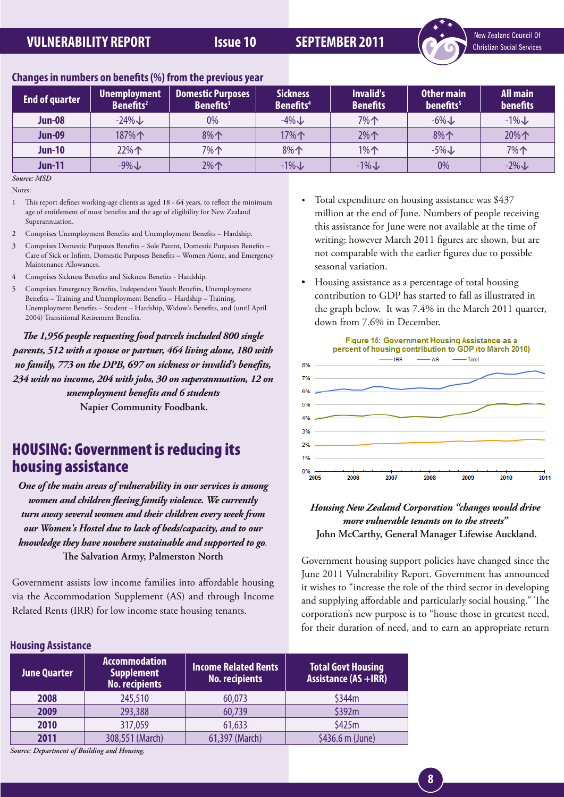

## **Changes in numbers on benefits (%) from the previous year**

| <b>End of quarter</b> | Unemployment<br>Benefits <sup>2</sup> | <b>Domestic Purposes</b><br>Benefits <sup>3</sup> | <b>Sickness</b><br>Benefits <sup>4</sup> | <b>Invalid's</b><br><b>Benefits</b> | Other main<br>benefits <sup>5</sup> | <b>All main</b><br>benefits |
|-----------------------|---------------------------------------|---------------------------------------------------|------------------------------------------|-------------------------------------|-------------------------------------|-----------------------------|
| <b>Jun-08</b>         | $-24\%$                               | 0%                                                | $-4\%$                                   | 7%个                                 | $-6\%$                              | $-1\%$                      |
| <b>Jun-09</b>         | 187%个                                 | 8%                                                | 17% $\uparrow$                           | $2\%$                               | 8%                                  | 20%个                        |
| <b>Jun-10</b>         | 22%个                                  | 7%个                                               | 8%个                                      | $1\%$                               | $-5\%$                              | 7%个                         |
| <b>Jun-11</b>         | $-9\%$                                | $2\%$                                             | $-1\%$                                   | $-1\%$                              | 0%                                  | $-2\%$                      |

*Source: MSD*

Notes:

- 1 This report defines working-age clients as aged 18 64 years, to reflect the minimum age of entitlement of most benefits and the age of eligibility for New Zealand Superannuation.
- 2 Comprises Unemployment Benefits and Unemployment Benefits Hardship.
- 3 Comprises Domestic Purposes Benefits Sole Parent, Domestic Purposes Benefits Care of Sick or Infirm, Domestic Purposes Benefits – Women Alone, and Emergency Maintenance Allowances.
- 4 Comprises Sickness Benefits and Sickness Benefits Hardship.
- 5 Comprises Emergency Benefits, Independent Youth Benefits, Unemployment Benefits – Training and Unemployment Benefits – Hardship – Training, Unemployment Benefits – Student – Hardship, Widow's Benefits, and (until April 2004) Transitional Retirement Benefits.

*The 1,956 people requesting food parcels included 800 single parents, 512 with a spouse or partner, 464 living alone, 180 with no family, 773 on the DPB, 697 on sickness or invalid's benefits, 234 with no income, 204 with jobs, 30 on superannuation, 12 on unemployment benefits and 6 students*  **Napier Community Foodbank.**

# HOUSING: Government is reducing its housing assistance

*One of the main areas of vulnerability in our services is among women and children fleeing family violence. We currently turn away several women and their children every week from our Women's Hostel due to lack of beds/capacity, and to our knowledge they have nowhere sustainable and supported to go.*  **The Salvation Army, Palmerston North**

Government assists low income families into affordable housing via the Accommodation Supplement (AS) and through Income Related Rents (IRR) for low income state housing tenants.

- Total expenditure on housing assistance was \$437 million at the end of June. Numbers of people receiving this assistance for June were not available at the time of writing; however March 2011 figures are shown, but are not comparable with the earlier figures due to possible seasonal variation.
- Housing assistance as a percentage of total housing contribution to GDP has started to fall as illustrated in the graph below. It was 7.4% in the March 2011 quarter, down from 7.6% in December.



### *Housing New Zealand Corporation "changes would drive more vulnerable tenants on to the streets"*  **John McCarthy, General Manager Lifewise Auckland.**

Government housing support policies have changed since the June 2011 Vulnerability Report. Government has announced it wishes to "increase the role of the third sector in developing and supplying affordable and particularly social housing." The corporation's new purpose is to "house those in greatest need, for their duration of need, and to earn an appropriate return

| <b>HOUSING ASSISTANCE</b>                   |                                                                    |                                                      |                                                          |
|---------------------------------------------|--------------------------------------------------------------------|------------------------------------------------------|----------------------------------------------------------|
| <b>June Quarter</b>                         | <b>Accommodation</b><br><b>Supplement</b><br><b>No. recipients</b> | <b>Income Related Rents</b><br><b>No. recipients</b> | <b>Total Govt Housing</b><br><b>Assistance (AS +IRR)</b> |
| 2008                                        | 245,510                                                            | 60,073                                               | \$344m                                                   |
| 2009                                        | 293,388                                                            | 60,739                                               | \$392m                                                   |
| 2010                                        | 317,059                                                            | 61,633                                               | \$425m                                                   |
| 2011                                        | 308,551 (March)                                                    | 61,397 (March)                                       | \$436.6 m (June)                                         |
| Source: Department of Building and Housing. |                                                                    |                                                      |                                                          |

### **Housing Assistance**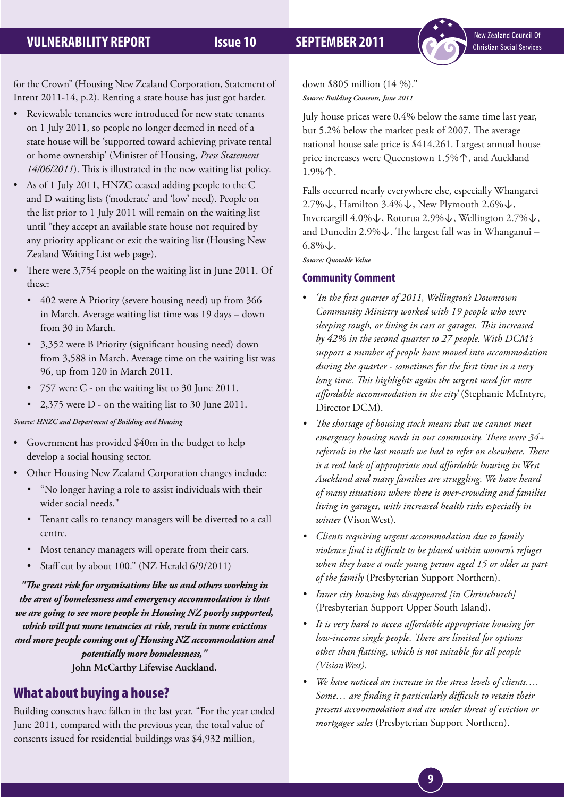New Zealand Council Of **Christian Social Services** 

for the Crown" (Housing New Zealand Corporation, Statement of Intent 2011-14, p.2). Renting a state house has just got harder.

- Reviewable tenancies were introduced for new state tenants on 1 July 2011, so people no longer deemed in need of a state house will be 'supported toward achieving private rental or home ownership' (Minister of Housing, *Press Statement 14/06/2011*). This is illustrated in the new waiting list policy.
- As of 1 July 2011, HNZC ceased adding people to the C and D waiting lists ('moderate' and 'low' need). People on the list prior to 1 July 2011 will remain on the waiting list until "they accept an available state house not required by any priority applicant or exit the waiting list (Housing New Zealand Waiting List web page).
- There were 3,754 people on the waiting list in June 2011. Of these:
	- 402 were A Priority (severe housing need) up from 366 in March. Average waiting list time was 19 days – down from 30 in March.
	- • 3,352 were B Priority (significant housing need) down from 3,588 in March. Average time on the waiting list was 96, up from 120 in March 2011.
	- • 757 were C on the waiting list to 30 June 2011.
	- 2,375 were D on the waiting list to 30 June 2011.

### *Source: HNZC and Department of Building and Housing*

- Government has provided \$40m in the budget to help develop a social housing sector.
- Other Housing New Zealand Corporation changes include:
	- • "No longer having a role to assist individuals with their wider social needs."
	- Tenant calls to tenancy managers will be diverted to a call centre.
	- Most tenancy managers will operate from their cars.
	- Staff cut by about 100." (NZ Herald 6/9/2011)

*"The great risk for organisations like us and others working in the area of homelessness and emergency accommodation is that we are going to see more people in Housing NZ poorly supported, which will put more tenancies at risk, result in more evictions and more people coming out of Housing NZ accommodation and potentially more homelessness,"*  **John McCarthy Lifewise Auckland.**

## What about buying a house?

Building consents have fallen in the last year. "For the year ended June 2011, compared with the previous year, the total value of consents issued for residential buildings was \$4,932 million,

down \$805 million (14 %)." *Source: Building Consents, June 2011*

July house prices were 0.4% below the same time last year, but 5.2% below the market peak of 2007. The average national house sale price is \$414,261. Largest annual house price increases were Queenstown 1.5%↑, and Auckland 1.9%↑.

Falls occurred nearly everywhere else, especially Whangarei 2.7%↓, Hamilton 3.4%↓, New Plymouth 2.6%↓, Invercargill 4.0%↓, Rotorua 2.9%↓, Wellington 2.7%↓, and Dunedin 2.9%↓. The largest fall was in Whanganui –  $6.8\%$ ↓.

*Source: Quotable Value*

### **Community Comment**

- • *'In the first quarter of 2011, Wellington's Downtown Community Ministry worked with 19 people who were sleeping rough, or living in cars or garages. This increased by 42% in the second quarter to 27 people. With DCM's support a number of people have moved into accommodation during the quarter - sometimes for the first time in a very long time. This highlights again the urgent need for more affordable accommodation in the city'* (Stephanie McIntyre, Director DCM).
- *• The shortage of housing stock means that we cannot meet emergency housing needs in our community. There were 34+ referrals in the last month we had to refer on elsewhere. There is a real lack of appropriate and affordable housing in West Auckland and many families are struggling. We have heard of many situations where there is over-crowding and families living in garages, with increased health risks especially in winter* (VisonWest).
- *• Clients requiring urgent accommodation due to family violence find it difficult to be placed within women's refuges when they have a male young person aged 15 or older as part of the family* (Presbyterian Support Northern).
- *• Inner city housing has disappeared [in Christchurch]* (Presbyterian Support Upper South Island).
- *• It is very hard to access affordable appropriate housing for low-income single people. There are limited for options other than flatting, which is not suitable for all people (VisionWest).*
- *• We have noticed an increase in the stress levels of clients…. Some… are finding it particularly difficult to retain their present accommodation and are under threat of eviction or mortgagee sales* (Presbyterian Support Northern).